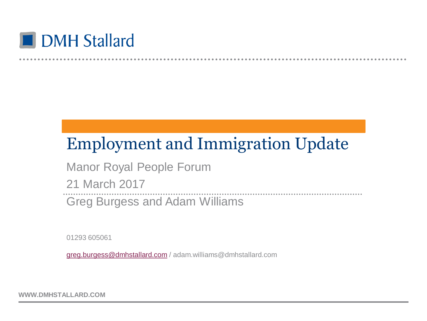

### Employment and Immigration Update

Manor Royal People Forum 21 March 2017 Greg Burgess and Adam Williams

01293 605061

[greg.burgess@dmhstallard.com](mailto:greg.burgess@dmhstallard.com) / adam.williams@dmhstallard.com

**WWW.DMHSTALLARD.COM**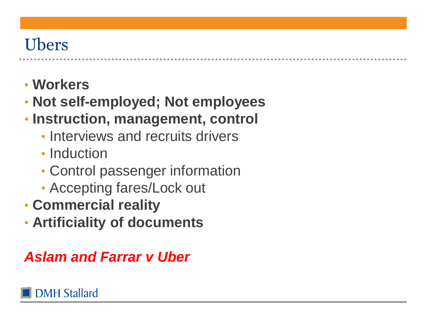### Ubers

- **Workers**
- **Not self-employed; Not employees**
- **Instruction, management, control**
	- Interviews and recruits drivers
	- Induction
	- Control passenger information
	- Accepting fares/Lock out
- **Commercial reality**
- **Artificiality of documents**

#### *Aslam and Farrar v Uber*

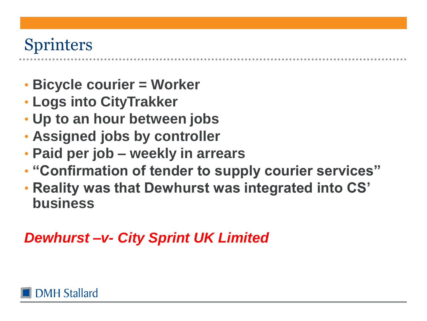### Sprinters

- **Bicycle courier = Worker**
- **Logs into CityTrakker**
- **Up to an hour between jobs**
- **Assigned jobs by controller**
- **Paid per job – weekly in arrears**
- **"Confirmation of tender to supply courier services"**
- **Reality was that Dewhurst was integrated into CS' business**

#### *Dewhurst –v- City Sprint UK Limited*

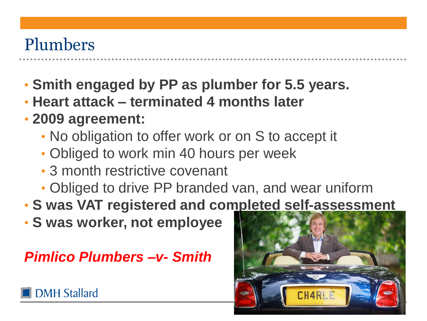### Plumbers

- **Smith engaged by PP as plumber for 5.5 years.**
- **Heart attack – terminated 4 months later**
- **2009 agreement:**
	- No obligation to offer work or on S to accept it
	- Obliged to work min 40 hours per week
	- 3 month restrictive covenant
	- Obliged to drive PP branded van, and wear uniform
- **S was VAT registered and completed self-assessment**
- **S was worker, not employee**

*Pimlico Plumbers –v- Smith*



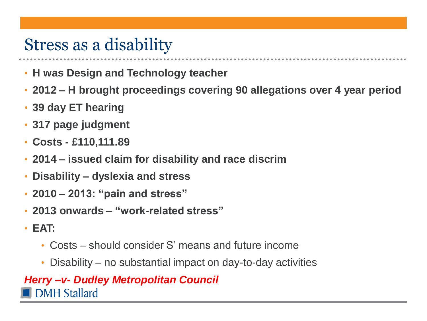### Stress as a disability

- **H was Design and Technology teacher**
- **2012 – H brought proceedings covering 90 allegations over 4 year period**
- **39 day ET hearing**
- **317 page judgment**
- **Costs - £110,111.89**
- **2014 – issued claim for disability and race discrim**
- **Disability – dyslexia and stress**
- **2010 – 2013: "pain and stress"**
- **2013 onwards – "work-related stress"**
- **EAT:**
	- Costs should consider S' means and future income
	- Disability no substantial impact on day-to-day activities

#### *Herry –v- Dudley Metropolitan Council***DMH Stallard**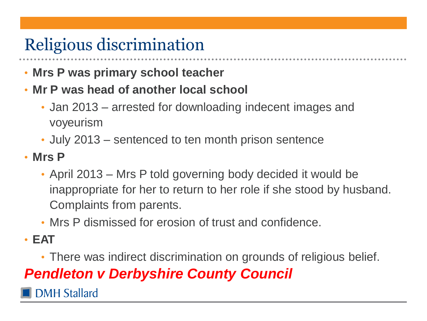## Religious discrimination

- **Mrs P was primary school teacher**
- **Mr P was head of another local school**
	- Jan 2013 arrested for downloading indecent images and voyeurism
	- July 2013 sentenced to ten month prison sentence
- **Mrs P**
	- April 2013 Mrs P told governing body decided it would be inappropriate for her to return to her role if she stood by husband. Complaints from parents.
	- Mrs P dismissed for erosion of trust and confidence.
- **EAT**
	- There was indirect discrimination on grounds of religious belief.

#### *Pendleton v Derbyshire County Council*

**DMH Stallard**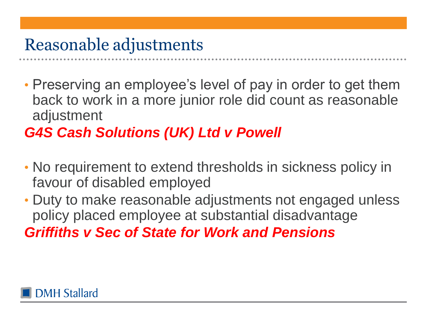### Reasonable adjustments

• Preserving an employee's level of pay in order to get them back to work in a more junior role did count as reasonable adjustment

#### *G4S Cash Solutions (UK) Ltd v Powell*

- No requirement to extend thresholds in sickness policy in favour of disabled employed
- Duty to make reasonable adjustments not engaged unless policy placed employee at substantial disadvantage *Griffiths v Sec of State for Work and Pensions*

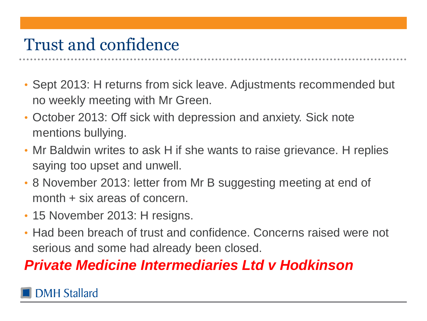### Trust and confidence

- Sept 2013: H returns from sick leave. Adjustments recommended but no weekly meeting with Mr Green.
- October 2013: Off sick with depression and anxiety. Sick note mentions bullying.
- Mr Baldwin writes to ask H if she wants to raise grievance. H replies saying too upset and unwell.
- 8 November 2013: letter from Mr B suggesting meeting at end of month + six areas of concern.
- 15 November 2013: H resigns.
- Had been breach of trust and confidence. Concerns raised were not serious and some had already been closed.

#### *Private Medicine Intermediaries Ltd v Hodkinson*

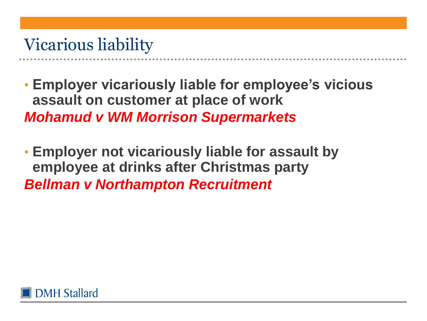### Vicarious liability

- **Employer vicariously liable for employee's vicious assault on customer at place of work** *Mohamud v WM Morrison Supermarkets*
- **Employer not vicariously liable for assault by employee at drinks after Christmas party** *Bellman v Northampton Recruitment*

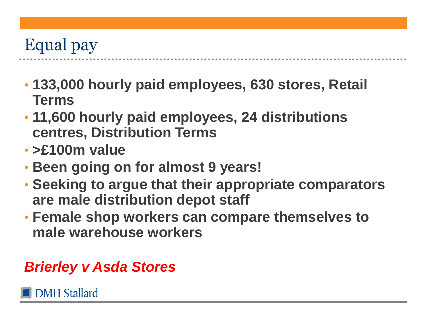## Equal pay

- **133,000 hourly paid employees, 630 stores, Retail Terms**
- **11,600 hourly paid employees, 24 distributions centres, Distribution Terms**
- **>£100m value**
- **Been going on for almost 9 years!**
- **Seeking to argue that their appropriate comparators are male distribution depot staff**
- **Female shop workers can compare themselves to male warehouse workers**

#### *Brierley v Asda Stores*

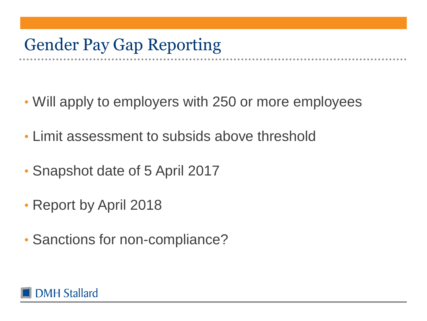### Gender Pay Gap Reporting

- Will apply to employers with 250 or more employees
- Limit assessment to subsids above threshold
- Snapshot date of 5 April 2017
- Report by April 2018
- Sanctions for non-compliance?

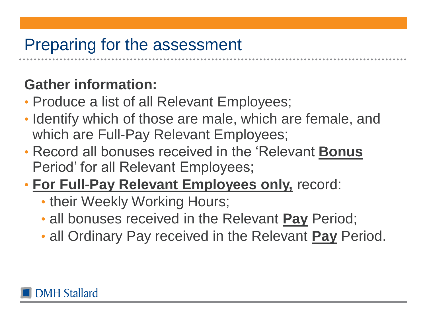### Preparing for the assessment

#### **Gather information:**

- Produce a list of all Relevant Employees;
- Identify which of those are male, which are female, and which are Full-Pay Relevant Employees;
- Record all bonuses received in the 'Relevant **Bonus** Period' for all Relevant Employees;
- **For Full-Pay Relevant Employees only,** record:
	- their Weekly Working Hours;
	- all bonuses received in the Relevant **Pay** Period;
	- all Ordinary Pay received in the Relevant **Pay** Period.

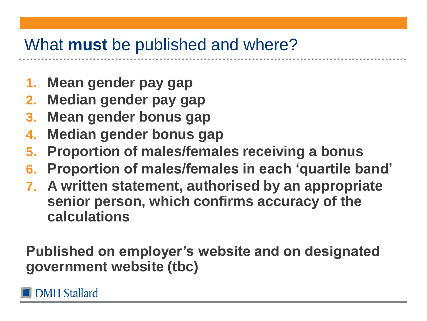### What **must** be published and where?

- **1. Mean gender pay gap**
- **2. Median gender pay gap**
- **3. Mean gender bonus gap**
- **4. Median gender bonus gap**
- **5. Proportion of males/females receiving a bonus**
- **6. Proportion of males/females in each 'quartile band'**
- **7. A written statement, authorised by an appropriate senior person, which confirms accuracy of the calculations**

**Published on employer's website and on designated government website (tbc)**

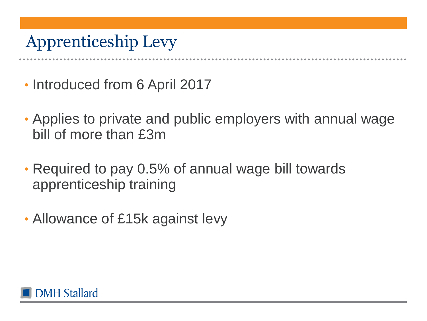### Apprenticeship Levy

- Introduced from 6 April 2017
- Applies to private and public employers with annual wage bill of more than £3m
- Required to pay 0.5% of annual wage bill towards apprenticeship training
- Allowance of £15k against levy

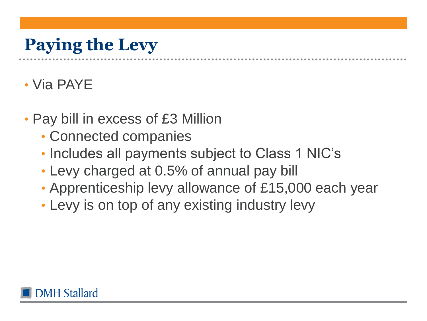# **Paying the Levy**

#### • Via PAYE

- Pay bill in excess of £3 Million
	- Connected companies
	- Includes all payments subject to Class 1 NIC's
	- Levy charged at 0.5% of annual pay bill
	- Apprenticeship levy allowance of £15,000 each year
	- Levy is on top of any existing industry levy

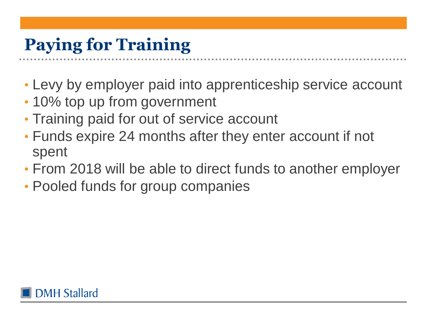## **Paying for Training**

- Levy by employer paid into apprenticeship service account
- 10% top up from government
- Training paid for out of service account
- Funds expire 24 months after they enter account if not spent
- From 2018 will be able to direct funds to another employer
- Pooled funds for group companies

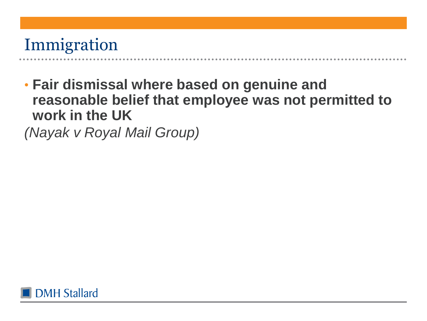### Immigration

• **Fair dismissal where based on genuine and reasonable belief that employee was not permitted to work in the UK**

*(Nayak v Royal Mail Group)*

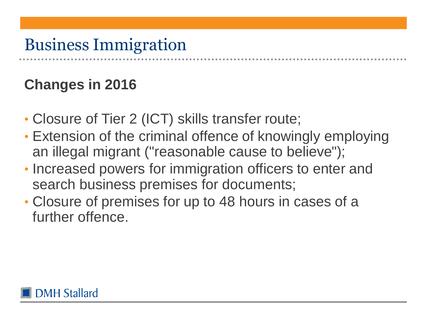### Business Immigration

### **Changes in 2016**

- Closure of Tier 2 (ICT) skills transfer route;
- Extension of the criminal offence of knowingly employing an illegal migrant ("reasonable cause to believe");
- Increased powers for immigration officers to enter and search business premises for documents;
- Closure of premises for up to 48 hours in cases of a further offence.